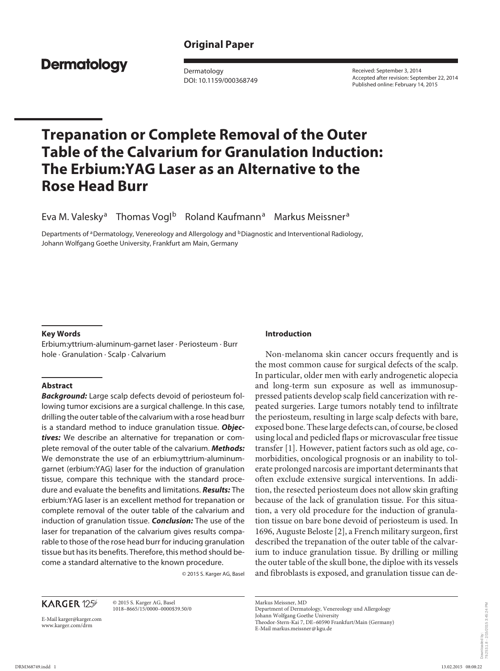## **Original Paper**

## **Dermatology**

 Dermatology DOI: 10.1159/000368749  Received: September 3, 2014 Accepted after revision: September 22, 2014 Published online: February 14, 2015

# **Trepanation or Complete Removal of the Outer Table of the Calvarium for Granulation Induction: The Erbium:YAG Laser as an Alternative to the Rose Head Burr**

Eva M. Valesky<sup>a</sup> Thomas Vogl<sup>b</sup> Roland Kaufmann<sup>a</sup> Markus Meissner<sup>a</sup>

Departments of <sup>a</sup> Dermatology, Venereology and Allergology and <sup>b</sup> Diagnostic and Interventional Radiology, Johann Wolfgang Goethe University, Frankfurt am Main, Germany

#### **Key Words**

 Erbium:yttrium-aluminum-garnet laser · Periosteum · Burr hole · Granulation · Scalp · Calvarium

#### **Abstract**

*Background:* Large scalp defects devoid of periosteum following tumor excisions are a surgical challenge. In this case, drilling the outer table of the calvarium with a rose head burr is a standard method to induce granulation tissue. *Objectives:* We describe an alternative for trepanation or complete removal of the outer table of the calvarium. *Methods:* We demonstrate the use of an erbium:yttrium-aluminumgarnet (erbium:YAG) laser for the induction of granulation tissue, compare this technique with the standard procedure and evaluate the benefits and limitations. *Results:* The erbium:YAG laser is an excellent method for trepanation or complete removal of the outer table of the calvarium and induction of granulation tissue. *Conclusion:* The use of the laser for trepanation of the calvarium gives results comparable to those of the rose head burr for inducing granulation tissue but has its benefits. Therefore, this method should become a standard alternative to the known procedure.

© 2015 S. Karger AG, Basel

## **KARGER 125**

 © 2015 S. Karger AG, Basel 1018–8665/15/0000–0000\$39.50/0

E-Mail karger@karger.com www.karger.com/drm

#### **Introduction**

 Non-melanoma skin cancer occurs frequently and is the most common cause for surgical defects of the scalp. In particular, older men with early androgenetic alopecia and long-term sun exposure as well as immunosuppressed patients develop scalp field cancerization with repeated surgeries. Large tumors notably tend to infiltrate the periosteum, resulting in large scalp defects with bare, exposed bone. These large defects can, of course, be closed using local and pedicled flaps or microvascular free tissue transfer [1]. However, patient factors such as old age, comorbidities, oncological prognosis or an inability to tolerate prolonged narcosis are important determinants that often exclude extensive surgical interventions. In addition, the resected periosteum does not allow skin grafting because of the lack of granulation tissue. For this situation, a very old procedure for the induction of granulation tissue on bare bone devoid of periosteum is used. In 1696, Auguste Beloste [2] , a French military surgeon, first described the trepanation of the outer table of the calvarium to induce granulation tissue. By drilling or milling the outer table of the skull bone, the diploe with its vessels and fibroblasts is exposed, and granulation tissue can de-

Markus Meissner, MD

Department of Dermatology, Venereology und Allergology Johann Wolfgang Goethe University

Theodor-Stern-Kai 7, DE–60590 Frankfurt/Main (Germany) E-Mail markus.meissner @ kgu.de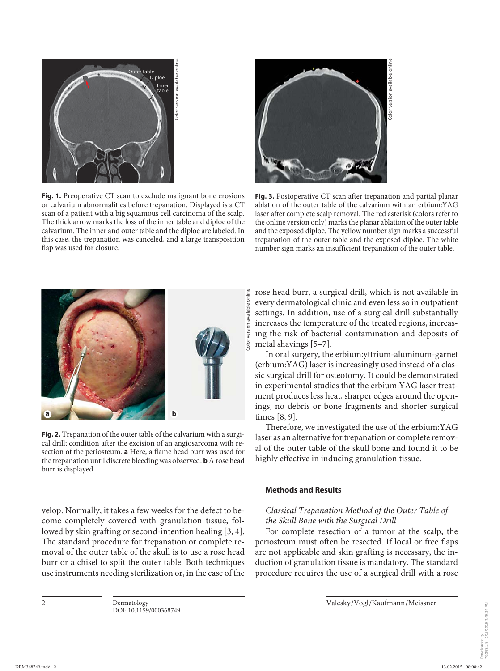

**Fig. 1.** Preoperative CT scan to exclude malignant bone erosions or calvarium abnormalities before trepanation. Displayed is a CT scan of a patient with a big squamous cell carcinoma of the scalp. The thick arrow marks the loss of the inner table and diploe of the calvarium. The inner and outer table and the diploe are labeled. In this case, the trepanation was canceled, and a large transposition flap was used for closure.



**Fig. 3.** Postoperative CT scan after trepanation and partial planar ablation of the outer table of the calvarium with an erbium:YAG laser after complete scalp removal. The red asterisk (colors refer to the online version only) marks the planar ablation of the outer table and the exposed diploe. The yellow number sign marks a successful trepanation of the outer table and the exposed diploe. The white



**Fig. 2.** Trepanation of the outer table of the calvarium with a surgical drill; condition after the excision of an angiosarcoma with resection of the periosteum. **a** Here, a flame head burr was used for the trepanation until discrete bleeding was observed. **b** A rose head burr is displayed.

velop. Normally, it takes a few weeks for the defect to become completely covered with granulation tissue, followed by skin grafting or second-intention healing [3, 4]. The standard procedure for trepanation or complete removal of the outer table of the skull is to use a rose head burr or a chisel to split the outer table. Both techniques use instruments needing sterilization or, in the case of the

rose head burr, a surgical drill, which is not available in every dermatological clinic and even less so in outpatient settings. In addition, use of a surgical drill substantially increases the temperature of the treated regions, increasing the risk of bacterial contamination and deposits of metal shavings [5-7].

 In oral surgery, the erbium:yttrium-aluminum-garnet (erbium:YAG) laser is increasingly used instead of a classic surgical drill for osteotomy. It could be demonstrated in experimental studies that the erbium:YAG laser treatment produces less heat, sharper edges around the openings, no debris or bone fragments and shorter surgical times [8, 9].

 Therefore, we investigated the use of the erbium:YAG laser as an alternative for trepanation or complete removal of the outer table of the skull bone and found it to be highly effective in inducing granulation tissue.

#### **Methods and Results**

## *Classical Trepanation Method of the Outer Table of the Skull Bone with the Surgical Drill*

 For complete resection of a tumor at the scalp, the periosteum must often be resected. If local or free flaps are not applicable and skin grafting is necessary, the induction of granulation tissue is mandatory. The standard procedure requires the use of a surgical drill with a rose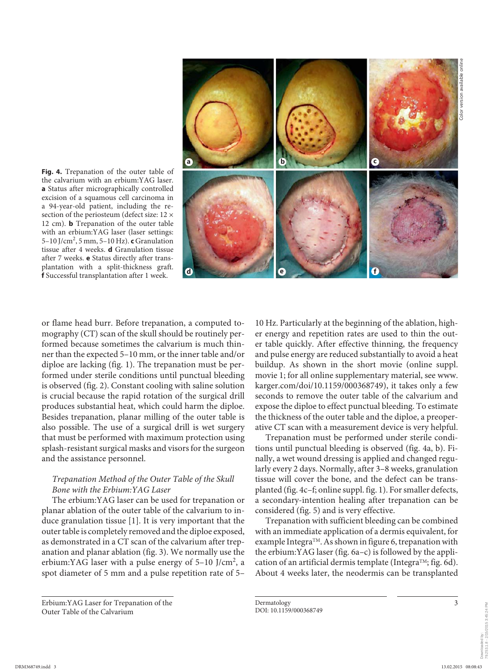

**Fig. 4.** Trepanation of the outer table of the calvarium with an erbium:YAG laser. **a** Status after micrographically controlled excision of a squamous cell carcinoma in a 94-year-old patient, including the resection of the periosteum (defect size: 12 × 12 cm). **b** Trepanation of the outer table with an erbium:YAG laser (laser settings: 5–10 J/cm<sup>2</sup>, 5 mm, 5–10 Hz). **c** Granulation tissue after 4 weeks. **d** Granulation tissue after 7 weeks. **e** Status directly after transplantation with a split-thickness graft. **f** Successful transplantation after 1 week.

or flame head burr. Before trepanation, a computed tomography (CT) scan of the skull should be routinely performed because sometimes the calvarium is much thinner than the expected 5–10 mm, or the inner table and/or diploe are lacking (fig. 1). The trepanation must be performed under sterile conditions until punctual bleeding is observed (fig. 2). Constant cooling with saline solution is crucial because the rapid rotation of the surgical drill produces substantial heat, which could harm the diploe. Besides trepanation, planar milling of the outer table is also possible. The use of a surgical drill is wet surgery that must be performed with maximum protection using splash-resistant surgical masks and visors for the surgeon and the assistance personnel.

### *Trepanation Method of the Outer Table of the Skull Bone with the Erbium:YAG Laser*

 The erbium:YAG laser can be used for trepanation or planar ablation of the outer table of the calvarium to induce granulation tissue  $[1]$ . It is very important that the outer table is completely removed and the diploe exposed, as demonstrated in a CT scan of the calvarium after trepanation and planar ablation (fig. 3). We normally use the erbium: YAG laser with a pulse energy of  $5-10$  J/cm<sup>2</sup>, a spot diameter of 5 mm and a pulse repetition rate of 5–

 Erbium:YAG Laser for Trepanation of the Outer Table of the Calvarium

10 Hz. Particularly at the beginning of the ablation, higher energy and repetition rates are used to thin the outer table quickly. After effective thinning, the frequency and pulse energy are reduced substantially to avoid a heat buildup. As shown in the short movie (online suppl. movie 1; for all online supplementary material, see www. karger.com/doi/10.1159/000368749), it takes only a few seconds to remove the outer table of the calvarium and expose the diploe to effect punctual bleeding. To estimate the thickness of the outer table and the diploe, a preoperative CT scan with a measurement device is very helpful.

 Trepanation must be performed under sterile conditions until punctual bleeding is observed (fig. 4a, b). Finally, a wet wound dressing is applied and changed regularly every 2 days. Normally, after 3–8 weeks, granulation tissue will cover the bone, and the defect can be transplanted (fig. 4c-f; online suppl. fig. 1). For smaller defects, a secondary-intention healing after trepanation can be considered (fig. 5) and is very effective.

 Trepanation with sufficient bleeding can be combined with an immediate application of a dermis equivalent, for example Integra™. As shown in figure 6, trepanation with the erbium: YAG laser (fig.  $6a-c$ ) is followed by the application of an artificial dermis template (Integra<sup>TM</sup>; fig. 6d). About 4 weeks later, the neodermis can be transplanted

/2015 3:45:24 PM 79.253.1.8 - 2/15/2015 3:45:24 PM

Dermatology DOI: 10.1159/000368749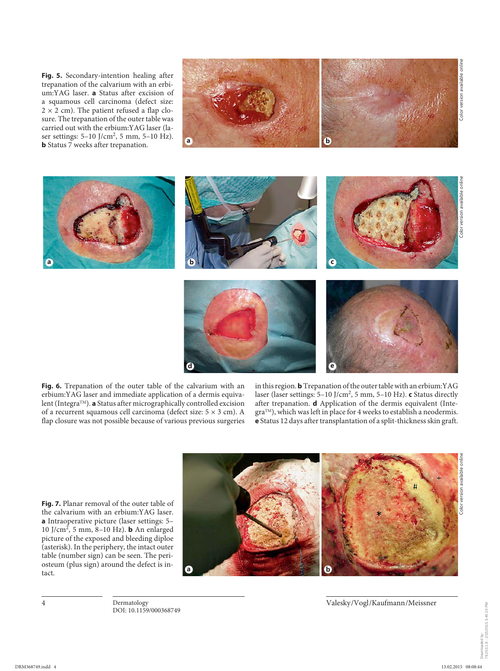**Fig. 5.** Secondary-intention healing after trepanation of the calvarium with an erbium:YAG laser. **a** Status after excision of a squamous cell carcinoma (defect size:  $2 \times 2$  cm). The patient refused a flap closure. The trepanation of the outer table was carried out with the erbium:YAG laser (laser settings:  $5{\text -}10 \text{ J/cm}^2$ , 5 mm,  $5{\text -}10 \text{ Hz}$ ). **b** Status 7 weeks after trepanation.



Color version available online ersion available clor.





in this region. **b** Trepanation of the outer table with an erbium:YAG laser (laser settings: 5-10 J/cm<sup>2</sup>, 5 mm, 5-10 Hz). **c** Status directly after trepanation. **d** Application of the dermis equivalent (Integra<sup>TM</sup>), which was left in place for 4 weeks to establish a neodermis. **e** Status 12 days after transplantation of a split-thickness skin graft.

**Fig. 7.** Planar removal of the outer table of the calvarium with an erbium:YAG laser. **a** Intraoperative picture (laser settings: 5– 10 J/cm<sup>2</sup>, 5 mm, 8-10 Hz). **b** An enlarged picture of the exposed and bleeding diploe (asterisk). In the periphery, the intact outer table (number sign) can be seen. The periosteum (plus sign) around the defect is intact.



4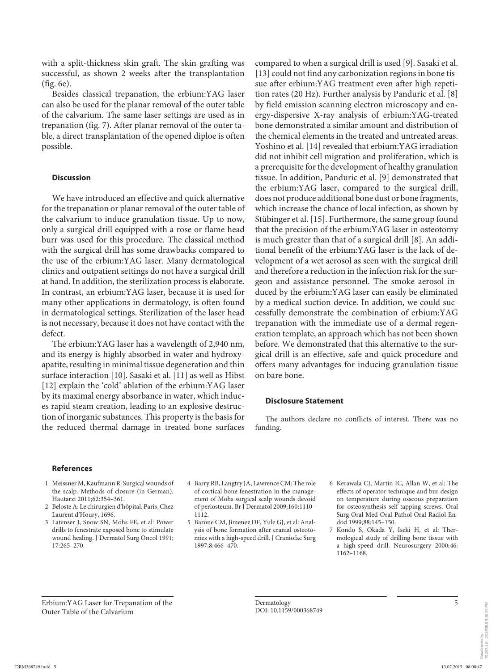with a split-thickness skin graft. The skin grafting was successful, as shown 2 weeks after the transplantation  $(fig. 6e)$ .

 Besides classical trepanation, the erbium:YAG laser can also be used for the planar removal of the outer table of the calvarium. The same laser settings are used as in trepanation (fig. 7). After planar removal of the outer table, a direct transplantation of the opened diploe is often possible.

#### **Discussion**

 We have introduced an effective and quick alternative for the trepanation or planar removal of the outer table of the calvarium to induce granulation tissue. Up to now, only a surgical drill equipped with a rose or flame head burr was used for this procedure. The classical method with the surgical drill has some drawbacks compared to the use of the erbium:YAG laser. Many dermatological clinics and outpatient settings do not have a surgical drill at hand. In addition, the sterilization process is elaborate. In contrast, an erbium:YAG laser, because it is used for many other applications in dermatology, is often found in dermatological settings. Sterilization of the laser head is not necessary, because it does not have contact with the defect.

 The erbium:YAG laser has a wavelength of 2,940 nm, and its energy is highly absorbed in water and hydroxyapatite, resulting in minimal tissue degeneration and thin surface interaction [10]. Sasaki et al. [11] as well as Hibst [12] explain the 'cold' ablation of the erbium:YAG laser by its maximal energy absorbance in water, which induces rapid steam creation, leading to an explosive destruction of inorganic substances. This property is the basis for the reduced thermal damage in treated bone surfaces compared to when a surgical drill is used [9]. Sasaki et al. [13] could not find any carbonization regions in bone tissue after erbium:YAG treatment even after high repetition rates (20 Hz). Further analysis by Panduric et al. [8] by field emission scanning electron microscopy and energy-dispersive X-ray analysis of erbium:YAG-treated bone demonstrated a similar amount and distribution of the chemical elements in the treated and untreated areas. Yoshino et al. [14] revealed that erbium:YAG irradiation did not inhibit cell migration and proliferation, which is a prerequisite for the development of healthy granulation tissue. In addition, Panduric et al. [9] demonstrated that the erbium:YAG laser, compared to the surgical drill, does not produce additional bone dust or bone fragments, which increase the chance of local infection, as shown by Stübinger et al. [15] . Furthermore, the same group found that the precision of the erbium:YAG laser in osteotomy is much greater than that of a surgical drill [8]. An additional benefit of the erbium:YAG laser is the lack of development of a wet aerosol as seen with the surgical drill and therefore a reduction in the infection risk for the surgeon and assistance personnel. The smoke aerosol induced by the erbium:YAG laser can easily be eliminated by a medical suction device. In addition, we could successfully demonstrate the combination of erbium:YAG trepanation with the immediate use of a dermal regeneration template, an approach which has not been shown before. We demonstrated that this alternative to the surgical drill is an effective, safe and quick procedure and offers many advantages for inducing granulation tissue on bare bone.

#### **Disclosure Statement**

 The authors declare no conflicts of interest. There was no funding.

#### **References**

- 1 Meissner M, Kaufmann R: Surgical wounds of the scalp. Methods of closure (in German). Hautarzt 2011;62:354–361.
- 2 Beloste A: Le chirurgien d'hôpital. Paris, Chez Laurent d'Houry, 1696.
- 3 Latenser J, Snow SN, Mohs FE, et al: Power drills to fenestrate exposed bone to stimulate wound healing. J Dermatol Surg Oncol 1991; 17:265–270.
- 4 Barry RB, Langtry JA, Lawrence CM: The role of cortical bone fenestration in the management of Mohs surgical scalp wounds devoid of periosteum. Br J Dermatol 2009;160:1110– 1112.
- 5 Barone CM, Jimenez DF, Yule GJ, et al: Analysis of bone formation after cranial osteotomies with a high-speed drill. J Craniofac Surg 1997;8:466–470.
- 6 Kerawala CJ, Martin IC, Allan W, et al: The effects of operator technique and bur design on temperature during osseous preparation for osteosynthesis self-tapping screws. Oral Surg Oral Med Oral Pathol Oral Radiol Endod 1999;88:145–150.
- 7 Kondo S, Okada Y, Iseki H, et al: Thermological study of drilling bone tissue with a high-speed drill. Neurosurgery 2000;46: 1162–1168.

 Erbium:YAG Laser for Trepanation of the Outer Table of the Calvarium

79.253.1.8 - 2/15/2015 3:45:24 PM